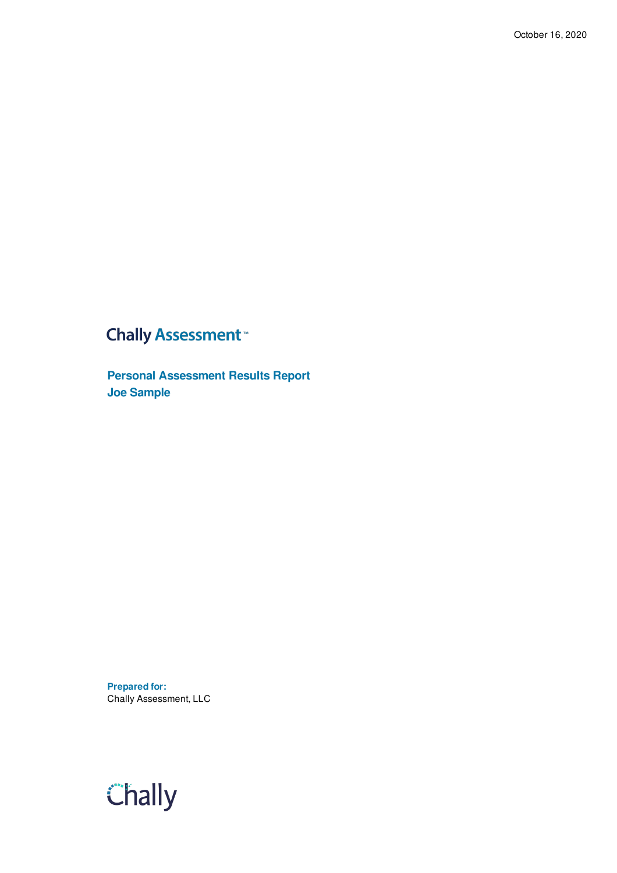## **Chally Assessment**<sup>™</sup>

**Personal Assessment Results Report Joe Sample**

**Prepared for:** Chally Assessment, LLC

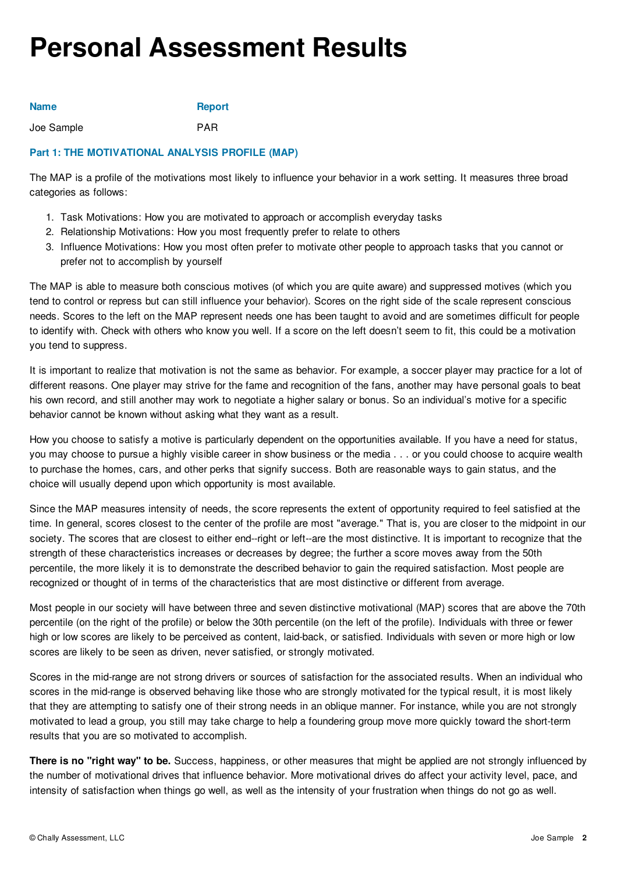# **Personal Assessment Results**

| <b>Name</b> | <b>Report</b> |
|-------------|---------------|
| Joe Sample  | <b>PAR</b>    |

## **Part 1: THE MOTIVATIONAL ANALYSIS PROFILE (MAP)**

The MAP is a profile of the motivations most likely to influence your behavior in a work setting. It measures three broad categories as follows:

- 1. Task Motivations: How you are motivated to approach or accomplish everyday tasks
- 2. Relationship Motivations: How you most frequently prefer to relate to others
- 3. Influence Motivations: How you most often prefer to motivate other people to approach tasks that you cannot or prefer not to accomplish by yourself

The MAP is able to measure both conscious motives (of which you are quite aware) and suppressed motives (which you tend to control or repress but can still influence your behavior). Scores on the right side of the scale represent conscious needs. Scores to the left on the MAP represent needs one has been taught to avoid and are sometimes difficult for people to identify with. Check with others who know you well. If a score on the left doesn't seem to fit, this could be a motivation you tend to suppress.

It is important to realize that motivation is not the same as behavior. For example, a soccer player may practice for a lot of different reasons. One player may strive for the fame and recognition of the fans, another may have personal goals to beat his own record, and still another may work to negotiate a higher salary or bonus. So an individual's motive for a specific behavior cannot be known without asking what they want as a result.

How you choose to satisfy a motive is particularly dependent on the opportunities available. If you have a need for status, you may choose to pursue a highly visible career in show business or the media . . . or you could choose to acquire wealth to purchase the homes, cars, and other perks that signify success. Both are reasonable ways to gain status, and the choice will usually depend upon which opportunity is most available.

Since the MAP measures intensity of needs, the score represents the extent of opportunity required to feel satisfied at the time. In general, scores closest to the center of the profile are most "average." That is, you are closer to the midpoint in our society. The scores that are closest to either end--right or left--are the most distinctive. It is important to recognize that the strength of these characteristics increases or decreases by degree; the further a score moves away from the 50th percentile, the more likely it is to demonstrate the described behavior to gain the required satisfaction. Most people are recognized or thought of in terms of the characteristics that are most distinctive or different from average.

Most people in our society will have between three and seven distinctive motivational (MAP) scores that are above the 70th percentile (on the right of the profile) or below the 30th percentile (on the left of the profile). Individuals with three or fewer high or low scores are likely to be perceived as content, laid-back, or satisfied. Individuals with seven or more high or low scores are likely to be seen as driven, never satisfied, or strongly motivated.

Scores in the mid-range are not strong drivers or sources of satisfaction for the associated results. When an individual who scores in the mid-range is observed behaving like those who are strongly motivated for the typical result, it is most likely that they are attempting to satisfy one of their strong needs in an oblique manner. For instance, while you are not strongly motivated to lead a group, you still may take charge to help a foundering group move more quickly toward the short-term results that you are so motivated to accomplish.

**There is no "right way" to be.** Success, happiness, or other measures that might be applied are not strongly influenced by the number of motivational drives that influence behavior. More motivational drives do affect your activity level, pace, and intensity of satisfaction when things go well, as well as the intensity of your frustration when things do not go as well.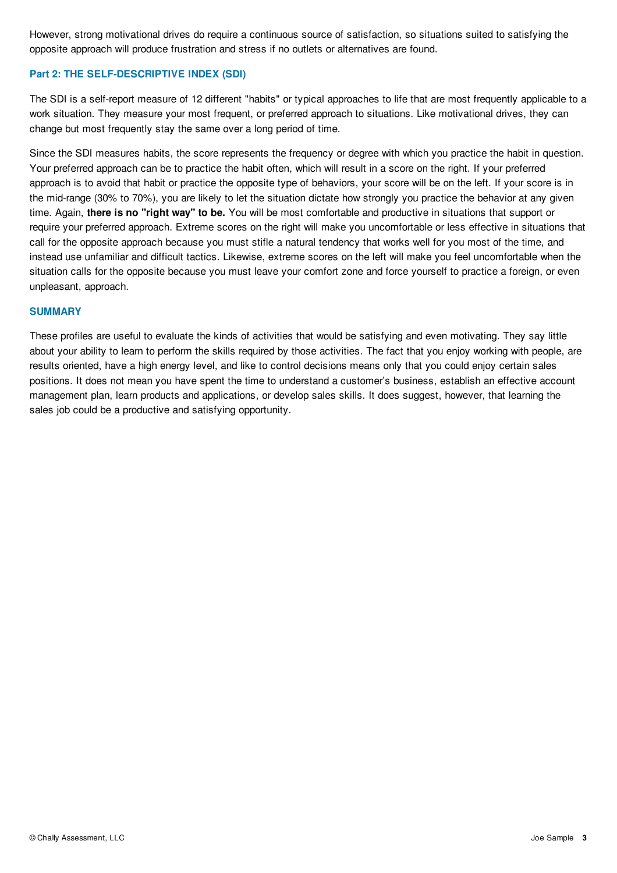However, strong motivational drives do require a continuous source of satisfaction, so situations suited to satisfying the opposite approach will produce frustration and stress if no outlets or alternatives are found.

## **Part 2: THE SELF-DESCRIPTIVE INDEX (SDI)**

The SDI is a self-report measure of 12 different "habits" or typical approaches to life that are most frequently applicable to a work situation. They measure your most frequent, or preferred approach to situations. Like motivational drives, they can change but most frequently stay the same over a long period of time.

Since the SDI measures habits, the score represents the frequency or degree with which you practice the habit in question. Your preferred approach can be to practice the habit often, which will result in a score on the right. If your preferred approach is to avoid that habit or practice the opposite type of behaviors, your score will be on the left. If your score is in the mid-range (30% to 70%), you are likely to let the situation dictate how strongly you practice the behavior at any given time. Again, **there is no "right way" to be.** You will be most comfortable and productive in situations that support or require your preferred approach. Extreme scores on the right will make you uncomfortable or less effective in situations that call for the opposite approach because you must stifle a natural tendency that works well for you most of the time, and instead use unfamiliar and difficult tactics. Likewise, extreme scores on the left will make you feel uncomfortable when the situation calls for the opposite because you must leave your comfort zone and force yourself to practice a foreign, or even unpleasant, approach.

### **SUMMARY**

These profiles are useful to evaluate the kinds of activities that would be satisfying and even motivating. They say little about your ability to learn to perform the skills required by those activities. The fact that you enjoy working with people, are results oriented, have a high energy level, and like to control decisions means only that you could enjoy certain sales positions. It does not mean you have spent the time to understand a customer's business, establish an effective account management plan, learn products and applications, or develop sales skills. It does suggest, however, that learning the sales job could be a productive and satisfying opportunity.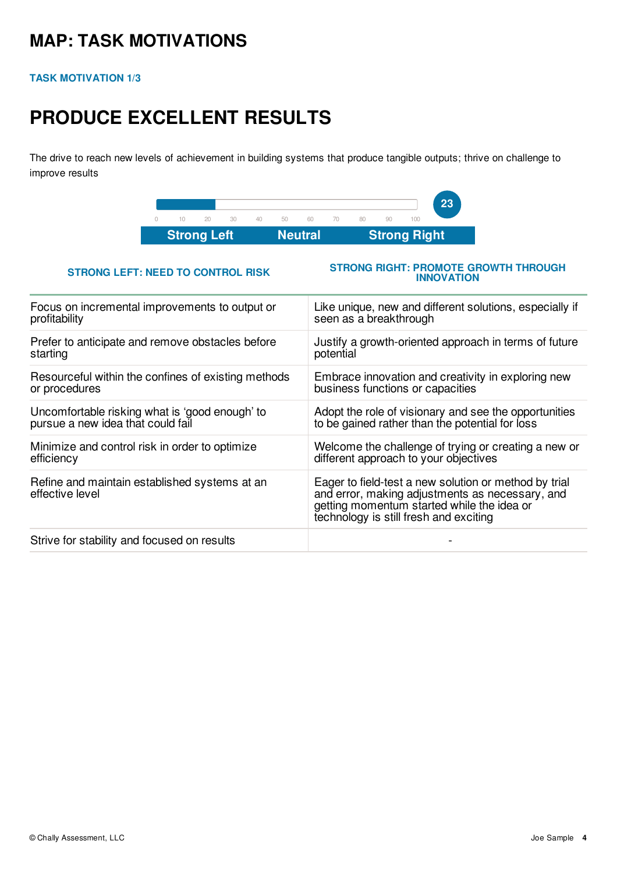## **MAP: TASK MOTIVATIONS**

## **TASK MOTIVATION 1/3**

# **PRODUCE EXCELLENT RESULTS**

The drive to reach new levels of achievement in building systems that produce tangible outputs; thrive on challenge to improve results



## **STRONG LEFT: NEED TO CONTROL RISK**

### **STRONG RIGHT: PROMOTE GROWTH THROUGH INNOVATION**

| Like unique, new and different solutions, especially if<br>seen as a breakthrough                                                                                                                |
|--------------------------------------------------------------------------------------------------------------------------------------------------------------------------------------------------|
| Justify a growth-oriented approach in terms of future<br>potential                                                                                                                               |
| Embrace innovation and creativity in exploring new<br>business functions or capacities                                                                                                           |
| Adopt the role of visionary and see the opportunities<br>to be gained rather than the potential for loss                                                                                         |
| Welcome the challenge of trying or creating a new or<br>different approach to your objectives                                                                                                    |
| Eager to field-test a new solution or method by trial<br>and error, making adjustments as necessary, and<br>getting momentum started while the idea or<br>technology is still fresh and exciting |
|                                                                                                                                                                                                  |
|                                                                                                                                                                                                  |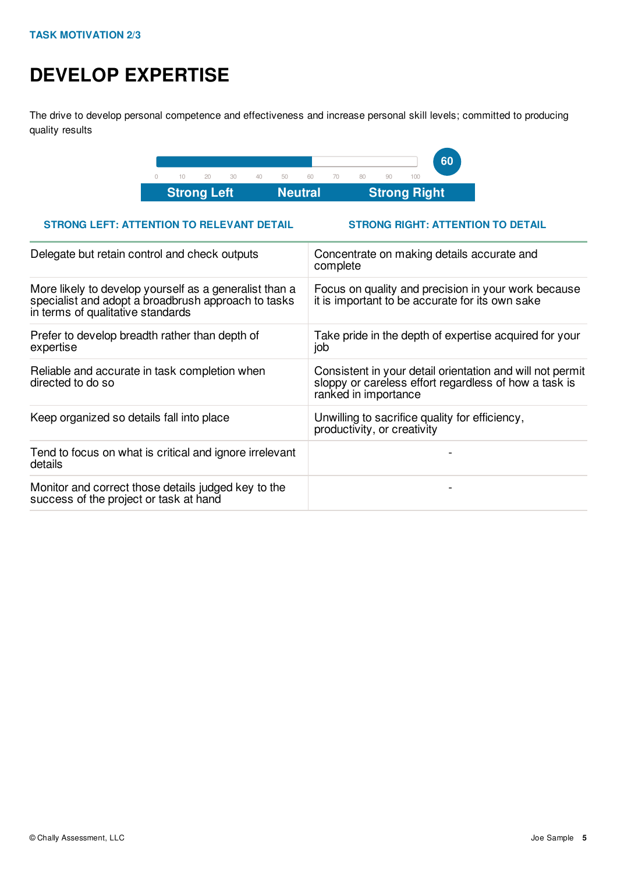# **DEVELOP EXPERTISE**

The drive to develop personal competence and effectiveness and increase personal skill levels; committed to producing quality results



## **STRONG LEFT: ATTENTION TO RELEVANT DETAIL STRONG RIGHT: ATTENTION TO DETAIL**

| Delegate but retain control and check outputs                                                                                                      | Concentrate on making details accurate and<br>complete                                                                                     |
|----------------------------------------------------------------------------------------------------------------------------------------------------|--------------------------------------------------------------------------------------------------------------------------------------------|
| More likely to develop yourself as a generalist than a<br>specialist and adopt a broadbrush approach to tasks<br>in terms of qualitative standards | Focus on quality and precision in your work because<br>it is important to be accurate for its own sake                                     |
| Prefer to develop breadth rather than depth of<br>expertise                                                                                        | Take pride in the depth of expertise acquired for your<br>job                                                                              |
| Reliable and accurate in task completion when<br>directed to do so                                                                                 | Consistent in your detail orientation and will not permit<br>sloppy or careless effort regardless of how a task is<br>ranked in importance |
| Keep organized so details fall into place                                                                                                          | Unwilling to sacrifice quality for efficiency,<br>productivity, or creativity                                                              |
| Tend to focus on what is critical and ignore irrelevant<br>details                                                                                 |                                                                                                                                            |
| Monitor and correct those details judged key to the<br>success of the project or task at hand                                                      |                                                                                                                                            |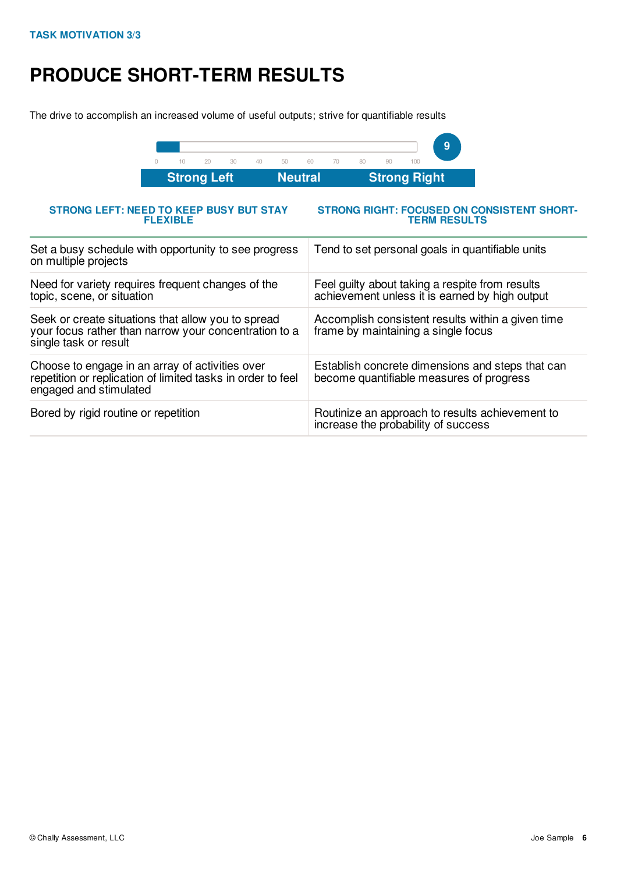# **PRODUCE SHORT-TERM RESULTS**

The drive to accomplish an increased volume of useful outputs; strive for quantifiable results



| <b>STRONG LEFT: NEED TO KEEP BUSY BUT STAY</b><br><b>FLEXIBLE</b>                                                                        | STRONG RIGHT: FOCUSED ON CONSISTENT SHORT-<br><b>TERM RESULTS</b>                                 |
|------------------------------------------------------------------------------------------------------------------------------------------|---------------------------------------------------------------------------------------------------|
| Set a busy schedule with opportunity to see progress<br>on multiple projects                                                             | Tend to set personal goals in quantifiable units                                                  |
| Need for variety requires frequent changes of the<br>topic, scene, or situation                                                          | Feel guilty about taking a respite from results<br>achievement unless it is earned by high output |
| Seek or create situations that allow you to spread<br>your focus rather than narrow your concentration to a<br>single task or result     | Accomplish consistent results within a given time<br>frame by maintaining a single focus          |
| Choose to engage in an array of activities over<br>repetition or replication of limited tasks in order to feel<br>engaged and stimulated | Establish concrete dimensions and steps that can<br>become quantifiable measures of progress      |
| Bored by rigid routine or repetition                                                                                                     | Routinize an approach to results achievement to<br>increase the probability of success            |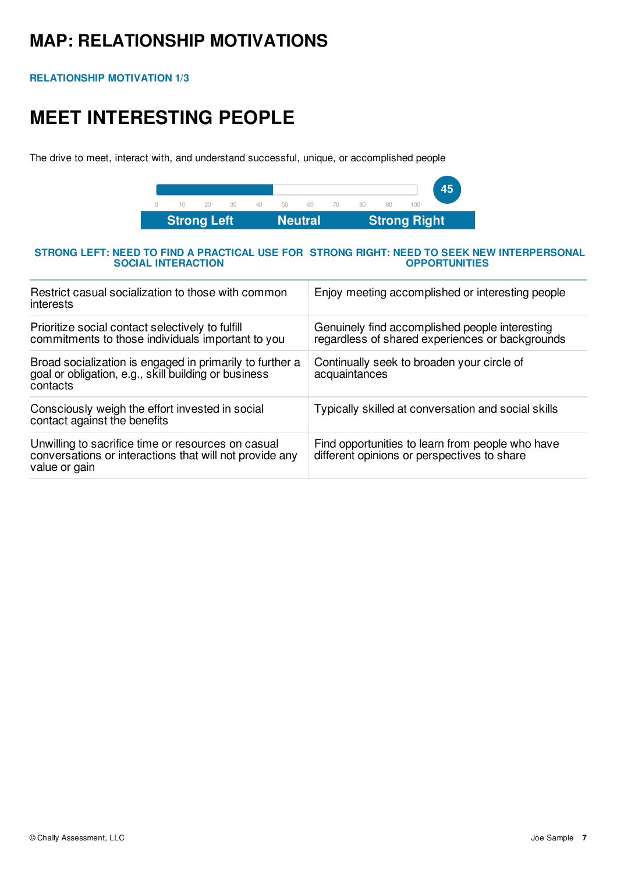## **MAP: RELATIONSHIP MOTIVATIONS**

**RELATIONSHIP MOTIVATION 1/3**

# **MEET INTERESTING PEOPLE**

The drive to meet, interact with, and understand successful, unique, or accomplished people



### **STRONG LEFT: NEED TO FIND A PRACTICAL USE FOR STRONG RIGHT: NEED TO SEEK NEW INTERPERSONAL SOCIAL INTERACTION OPPORTUNITIES**

| Restrict casual socialization to those with common<br>interests                                                                | Enjoy meeting accomplished or interesting people                                                  |
|--------------------------------------------------------------------------------------------------------------------------------|---------------------------------------------------------------------------------------------------|
| Prioritize social contact selectively to fulfill<br>commitments to those individuals important to you                          | Genuinely find accomplished people interesting<br>regardless of shared experiences or backgrounds |
| Broad socialization is engaged in primarily to further a<br>goal or obligation, e.g., skill building or business<br>contacts   | Continually seek to broaden your circle of<br>acquaintances                                       |
| Consciously weigh the effort invested in social<br>contact against the benefits                                                | Typically skilled at conversation and social skills                                               |
| Unwilling to sacrifice time or resources on casual<br>conversations or interactions that will not provide any<br>value or gain | Find opportunities to learn from people who have<br>different opinions or perspectives to share   |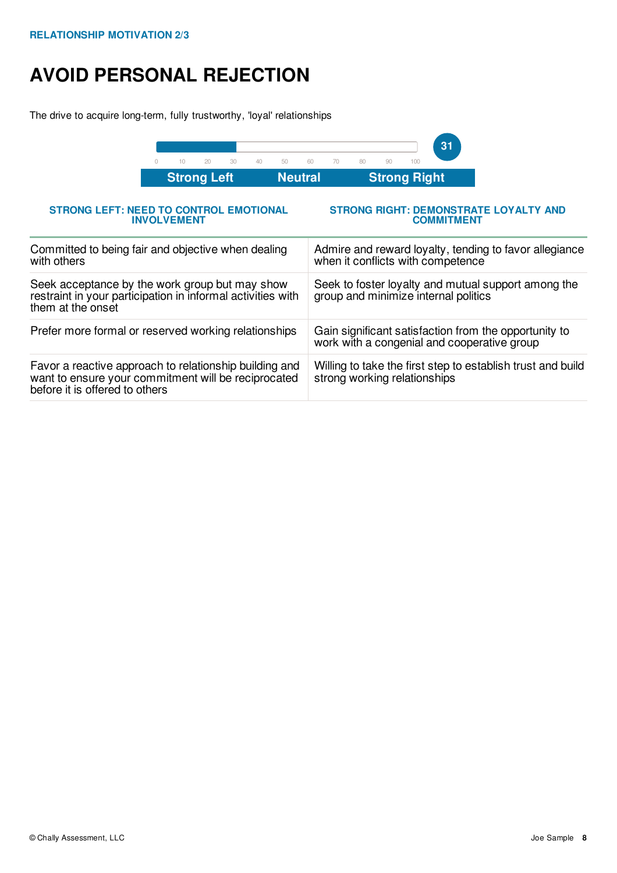# **AVOID PERSONAL REJECTION**

The drive to acquire long-term, fully trustworthy, 'loyal' relationships

| 20<br>30<br>40<br>50<br>10<br>$\bigcap$                                                                                                         | 31<br>60<br>70<br>80<br>90<br>100                                                                    |
|-------------------------------------------------------------------------------------------------------------------------------------------------|------------------------------------------------------------------------------------------------------|
| <b>Neutral</b><br><b>Strong Left</b>                                                                                                            | <b>Strong Right</b>                                                                                  |
| <b>STRONG LEFT: NEED TO CONTROL EMOTIONAL</b><br><b>INVOLVEMENT</b>                                                                             | <b>STRONG RIGHT: DEMONSTRATE LOYALTY AND</b><br><b>COMMITMENT</b>                                    |
| Committed to being fair and objective when dealing<br>with others                                                                               | Admire and reward loyalty, tending to favor allegiance<br>when it conflicts with competence          |
| Seek acceptance by the work group but may show<br>restraint in your participation in informal activities with<br>them at the onset              | Seek to foster loyalty and mutual support among the<br>group and minimize internal politics          |
| Prefer more formal or reserved working relationships                                                                                            | Gain significant satisfaction from the opportunity to<br>work with a congenial and cooperative group |
| Favor a reactive approach to relationship building and<br>want to ensure your commitment will be reciprocated<br>before it is offered to others | Willing to take the first step to establish trust and build<br>strong working relationships          |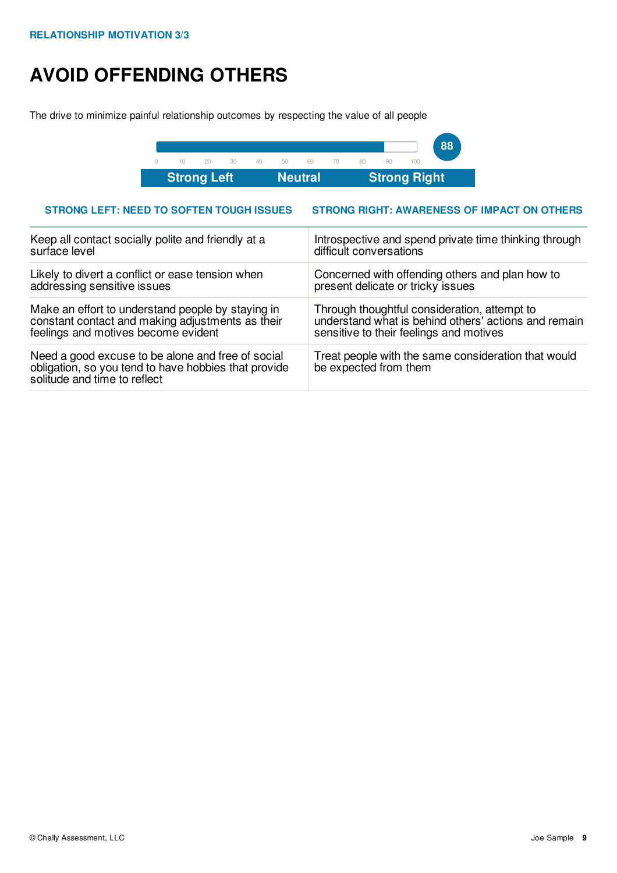# **AVOID OFFENDING OTHERS**

The drive to minimize painful relationship outcomes by respecting the value of all people



## **STRONG LEFT: NEED TO SOFTEN TOUGH ISSUES STRONG RIGHT: AWARENESS OF IMPACT ON OTHERS**

| Keep all contact socially polite and friendly at a                                                                                        | Introspective and spend private time thinking through                        |
|-------------------------------------------------------------------------------------------------------------------------------------------|------------------------------------------------------------------------------|
| surface level                                                                                                                             | difficult conversations                                                      |
| Likely to divert a conflict or ease tension when                                                                                          | Concerned with offending others and plan how to                              |
| addressing sensitive issues                                                                                                               | present delicate or tricky issues                                            |
| Make an effort to understand people by staying in                                                                                         | Through thoughtful consideration, attempt to                                 |
| constant contact and making adjustments as their                                                                                          | understand what is behind others' actions and remain                         |
| feelings and motives become evident                                                                                                       | sensitive to their feelings and motives                                      |
| Need a good excuse to be alone and free of social<br>obligation, so you tend to have hobbies that provide<br>solitude and time to reflect | Treat people with the same consideration that would<br>be expected from them |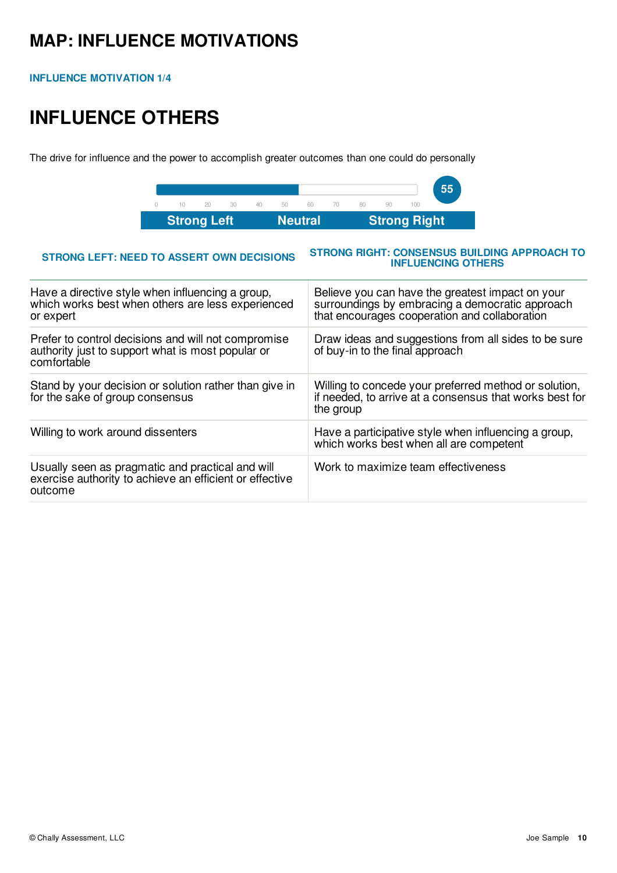## **MAP: INFLUENCE MOTIVATIONS**

**INFLUENCE MOTIVATION 1/4**

# **INFLUENCE OTHERS**

The drive for influence and the power to accomplish greater outcomes than one could do personally



### **STRONG LEFT: NEED TO ASSERT OWN DECISIONS STRONG RIGHT: CONSENSUS BUILDING APPROACH TO INFLUENCING OTHERS** Have a directive style when influencing a group, which works best when others are less experienced or expert Believe you can have the greatest impact on your surroundings by embracing a democratic approach that encourages cooperation and collaboration Prefer to control decisions and will not compromise authority just to support what is most popular or comfortable Draw ideas and suggestions from all sides to be sure of buy-in to the final approach Stand by your decision or solution rather than give in for the sake of group consensus Willing to concede your preferred method or solution, if needed, to arrive at a consensus that works best for the group Willing to work around dissenters Have a participative style when influencing a group, which works best when all are competent Usually seen as pragmatic and practical and will exercise authority to achieve an efficient or effective outcome Work to maximize team effectiveness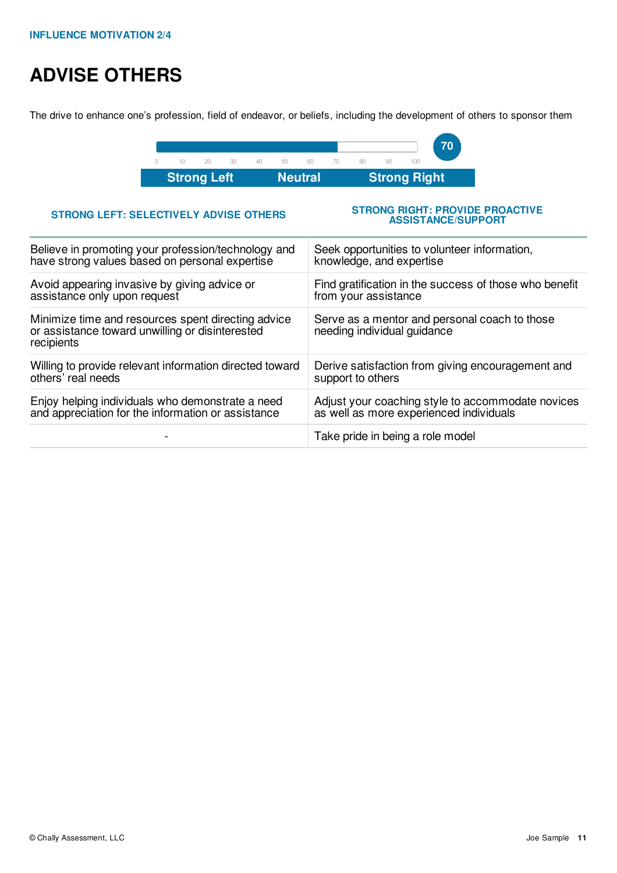# **ADVISE OTHERS**

The drive to enhance one's profession, field of endeavor, or beliefs, including the development of others to sponsor them



## **STRONG LEFT: SELECTIVELY ADVISE OTHERS**

### **STRONG RIGHT: PROVIDE PROACTIVE ASSISTANCE/SUPPORT**

| Believe in promoting your profession/technology and                                                                 | Seek opportunities to volunteer information,                                 |
|---------------------------------------------------------------------------------------------------------------------|------------------------------------------------------------------------------|
| have strong values based on personal expertise                                                                      | knowledge, and expertise                                                     |
| Avoid appearing invasive by giving advice or                                                                        | Find gratification in the success of those who benefit                       |
| assistance only upon request                                                                                        | from your assistance                                                         |
| Minimize time and resources spent directing advice<br>or assistance toward unwilling or disinterested<br>recipients | Serve as a mentor and personal coach to those<br>needing individual guidance |
| Willing to provide relevant information directed toward                                                             | Derive satisfaction from giving encouragement and                            |
| others' real needs                                                                                                  | support to others                                                            |
| Enjoy helping individuals who demonstrate a need                                                                    | Adjust your coaching style to accommodate novices                            |
| and appreciation for the information or assistance                                                                  | as well as more experienced individuals                                      |
|                                                                                                                     | Take pride in being a role model                                             |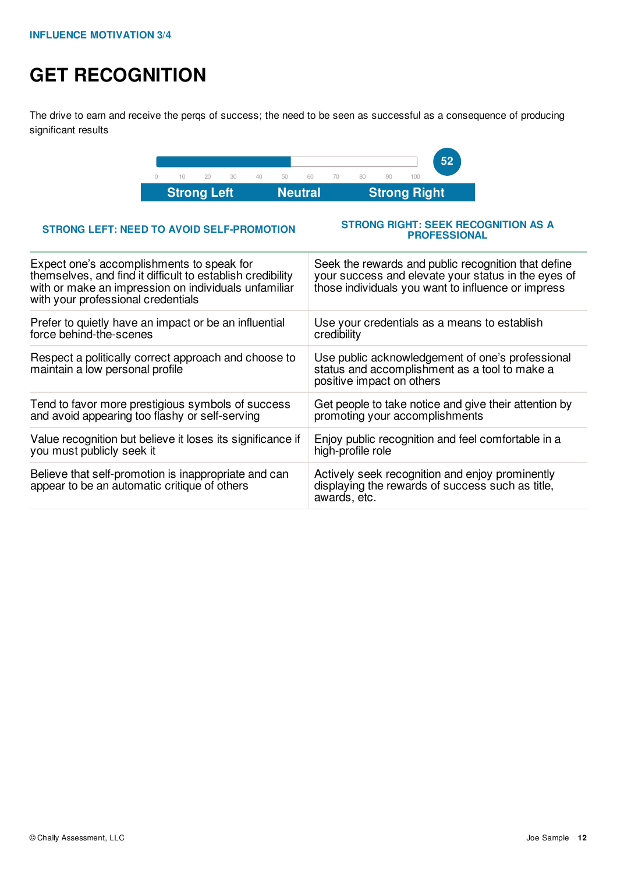# **GET RECOGNITION**

The drive to earn and receive the perqs of success; the need to be seen as successful as a consequence of producing significant results



### **STRONG LEFT: NEED TO AVOID SELF-PROMOTION**

### **STRONG RIGHT: SEEK RECOGNITION AS A PROFESSIONAL**

| Expect one's accomplishments to speak for<br>themselves, and find it difficult to establish credibility<br>with or make an impression on individuals unfamiliar<br>with your professional credentials | Seek the rewards and public recognition that define<br>your success and elevate your status in the eyes of<br>those individuals you want to influence or impress |
|-------------------------------------------------------------------------------------------------------------------------------------------------------------------------------------------------------|------------------------------------------------------------------------------------------------------------------------------------------------------------------|
| Prefer to quietly have an impact or be an influential                                                                                                                                                 | Use your credentials as a means to establish                                                                                                                     |
| force behind-the-scenes                                                                                                                                                                               | credibility                                                                                                                                                      |
| Respect a politically correct approach and choose to<br>maintain a low personal profile                                                                                                               | Use public acknowledgement of one's professional<br>status and accomplishment as a tool to make a<br>positive impact on others                                   |
| Tend to favor more prestigious symbols of success                                                                                                                                                     | Get people to take notice and give their attention by                                                                                                            |
| and avoid appearing too flashy or self-serving                                                                                                                                                        | promoting your accomplishments                                                                                                                                   |
| Value recognition but believe it loses its significance if                                                                                                                                            | Enjoy public recognition and feel comfortable in a                                                                                                               |
| you must publicly seek it                                                                                                                                                                             | high-profile role                                                                                                                                                |
| Believe that self-promotion is inappropriate and can<br>appear to be an automatic critique of others                                                                                                  | Actively seek recognition and enjoy prominently<br>displaying the rewards of success such as title,<br>awards, etc.                                              |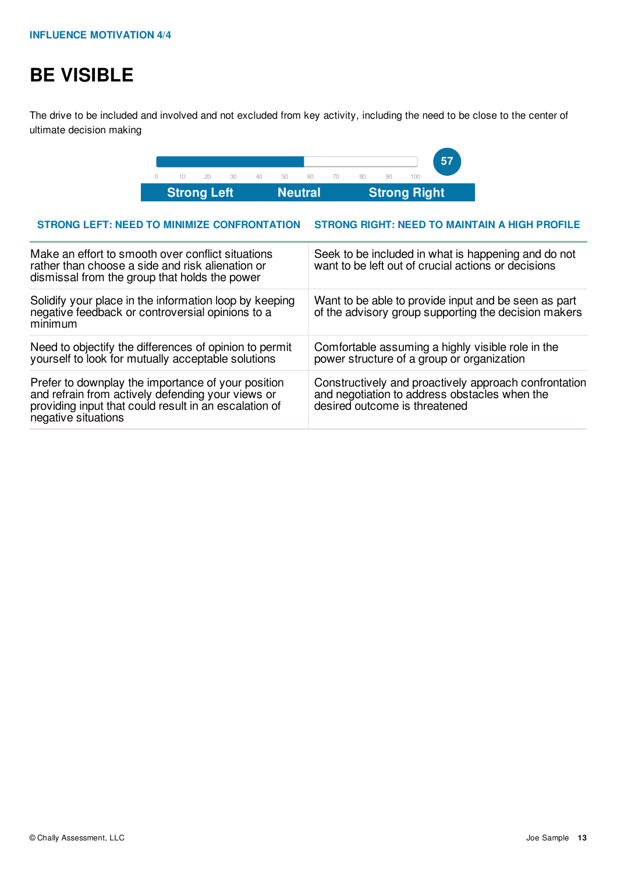# **BE VISIBLE**

The drive to be included and involved and not excluded from key activity, including the need to be close to the center of ultimate decision making



### **STRONG LEFT: NEED TO MINIMIZE CONFRONTATION STRONG RIGHT: NEED TO MAINTAIN A HIGH PROFILE**

| Make an effort to smooth over conflict situations<br>rather than choose a side and risk alienation or<br>dismissal from the group that holds the power                                  | Seek to be included in what is happening and do not<br>want to be left out of crucial actions or decisions                              |
|-----------------------------------------------------------------------------------------------------------------------------------------------------------------------------------------|-----------------------------------------------------------------------------------------------------------------------------------------|
| Solidify your place in the information loop by keeping<br>negative feedback or controversial opinions to a<br>minimum                                                                   | Want to be able to provide input and be seen as part<br>of the advisory group supporting the decision makers                            |
| Need to objectify the differences of opinion to permit<br>yourself to look for mutually acceptable solutions                                                                            | Comfortable assuming a highly visible role in the<br>power structure of a group or organization                                         |
| Prefer to downplay the importance of your position<br>and refrain from actively defending your views or<br>providing input that could result in an escalation of<br>negative situations | Constructively and proactively approach confrontation<br>and negotiation to address obstacles when the<br>desired outcome is threatened |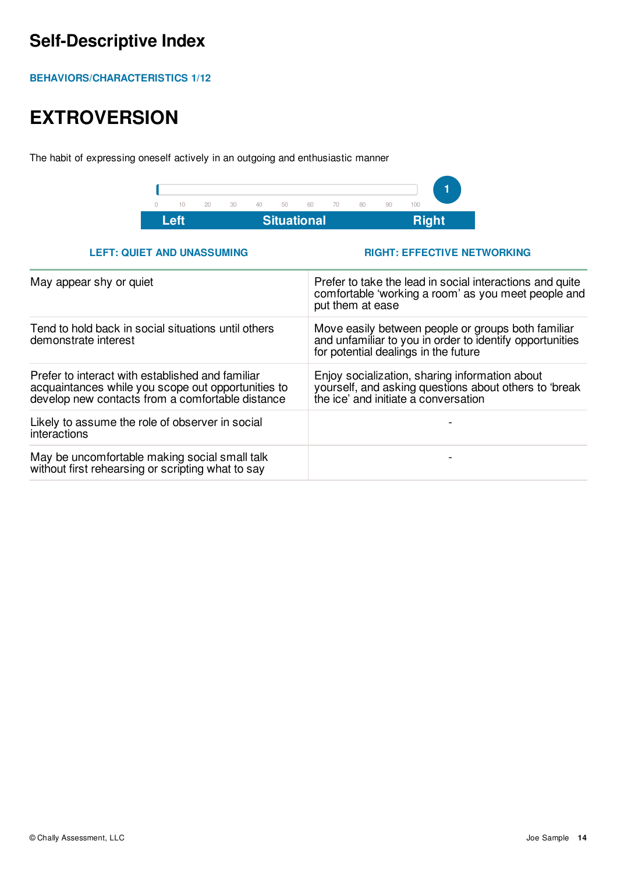## **Self-Descriptive Index**

**BEHAVIORS/CHARACTERISTICS 1/12**

# **EXTROVERSION**

The habit of expressing oneself actively in an outgoing and enthusiastic manner



## **LEFT: QUIET AND UNASSUMING RIGHT: EFFECTIVE NETWORKING**

| May appear shy or quiet                                                                                                                                    | Prefer to take the lead in social interactions and quite<br>comfortable 'working a room' as you meet people and<br>put them at ease                    |
|------------------------------------------------------------------------------------------------------------------------------------------------------------|--------------------------------------------------------------------------------------------------------------------------------------------------------|
| Tend to hold back in social situations until others<br>demonstrate interest                                                                                | Move easily between people or groups both familiar<br>and unfamiliar to you in order to identify opportunities<br>for potential dealings in the future |
| Prefer to interact with established and familiar<br>acquaintances while you scope out opportunities to<br>develop new contacts from a comfortable distance | Enjoy socialization, sharing information about<br>yourself, and asking questions about others to 'break<br>the ice' and initiate a conversation        |
| Likely to assume the role of observer in social<br>interactions                                                                                            |                                                                                                                                                        |
| May be uncomfortable making social small talk<br>without first rehearsing or scripting what to say                                                         |                                                                                                                                                        |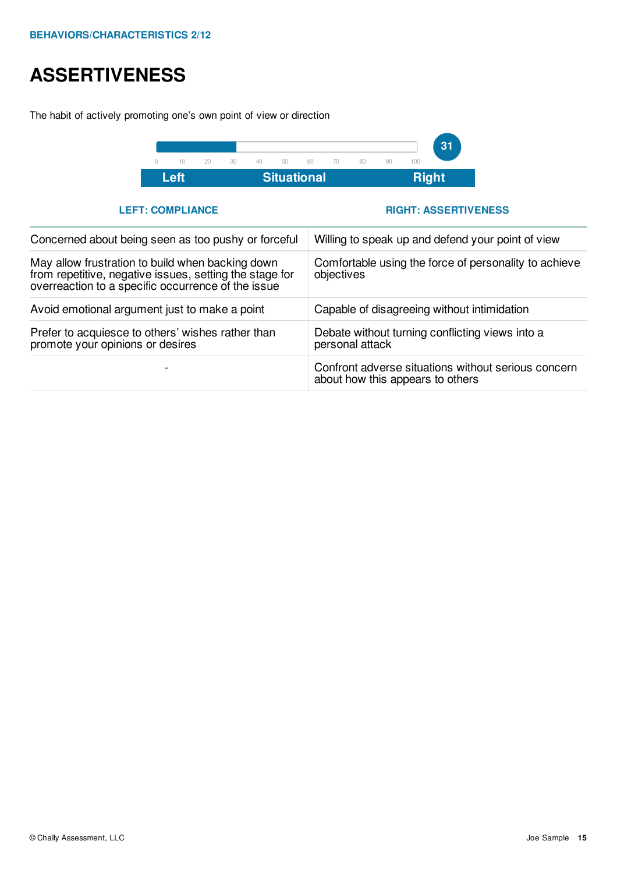# **ASSERTIVENESS**

The habit of actively promoting one's own point of view or direction



**LEFT: COMPLIANCE RIGHT: ASSERTIVENESS**

| Concerned about being seen as too pushy or forceful                                                                                                               | Willing to speak up and defend your point of view                                       |
|-------------------------------------------------------------------------------------------------------------------------------------------------------------------|-----------------------------------------------------------------------------------------|
| May allow frustration to build when backing down<br>from repetitive, negative issues, setting the stage for<br>overreaction to a specific occurrence of the issue | Comfortable using the force of personality to achieve<br>objectives                     |
| Avoid emotional argument just to make a point                                                                                                                     | Capable of disagreeing without intimidation                                             |
| Prefer to acquiesce to others' wishes rather than<br>promote your opinions or desires                                                                             | Debate without turning conflicting views into a<br>personal attack                      |
|                                                                                                                                                                   | Confront adverse situations without serious concern<br>about how this appears to others |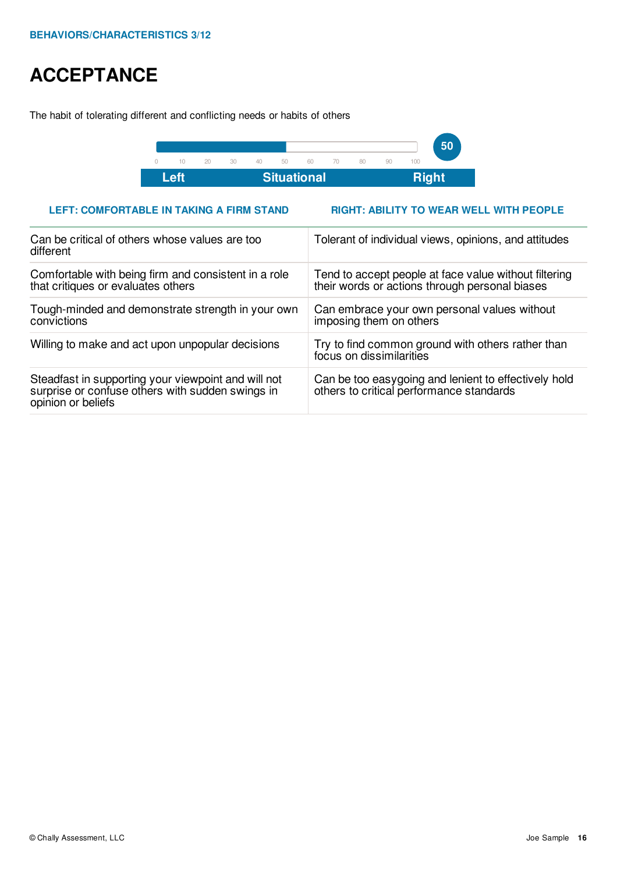## **ACCEPTANCE**

The habit of tolerating different and conflicting needs or habits of others



## **LEFT: COMFORTABLE IN TAKING A FIRM STAND RIGHT: ABILITY TO WEAR WELL WITH PEOPLE**

| Can be critical of others whose values are too<br>different                                                                   | Tolerant of individual views, opinions, and attitudes                                                   |  |  |  |
|-------------------------------------------------------------------------------------------------------------------------------|---------------------------------------------------------------------------------------------------------|--|--|--|
| Comfortable with being firm and consistent in a role<br>that critiques or evaluates others                                    | Tend to accept people at face value without filtering<br>their words or actions through personal biases |  |  |  |
| Tough-minded and demonstrate strength in your own<br>convictions                                                              | Can embrace your own personal values without<br>imposing them on others                                 |  |  |  |
| Willing to make and act upon unpopular decisions                                                                              | Try to find common ground with others rather than<br>focus on dissimilarities                           |  |  |  |
| Steadfast in supporting your viewpoint and will not<br>surprise or confuse others with sudden swings in<br>opinion or beliefs | Can be too easygoing and lenient to effectively hold<br>others to critical performance standards        |  |  |  |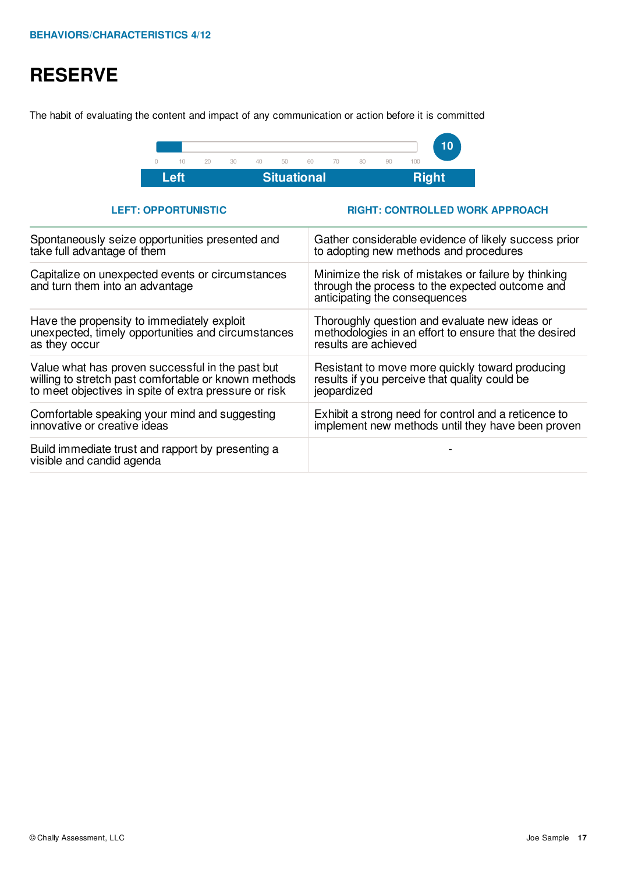# **RESERVE**

The habit of evaluating the content and impact of any communication or action before it is committed



**LEFT: OPPORTUNISTIC RIGHT: CONTROLLED WORK APPROACH**

| Spontaneously seize opportunities presented and                                     | Gather considerable evidence of likely success prior                                                                                     |
|-------------------------------------------------------------------------------------|------------------------------------------------------------------------------------------------------------------------------------------|
| take full advantage of them                                                         | to adopting new methods and procedures                                                                                                   |
| Capitalize on unexpected events or circumstances<br>and turn them into an advantage | Minimize the risk of mistakes or failure by thinking<br>through the process to the expected outcome and<br>anticipating the consequences |
| Have the propensity to immediately exploit                                          | Thoroughly question and evaluate new ideas or                                                                                            |
| unexpected, timely opportunities and circumstances                                  | methodologies in an effort to ensure that the desired                                                                                    |
| as they occur                                                                       | results are achieved                                                                                                                     |
| Value what has proven successful in the past but                                    | Resistant to move more quickly toward producing                                                                                          |
| willing to stretch past comfortable or known methods                                | results if you perceive that quality could be                                                                                            |
| to meet objectives in spite of extra pressure or risk                               | jeopardized                                                                                                                              |
| Comfortable speaking your mind and suggesting                                       | Exhibit a strong need for control and a reticence to                                                                                     |
| innovative or creative ideas                                                        | implement new methods until they have been proven                                                                                        |
| Build immediate trust and rapport by presenting a<br>visible and candid agenda      |                                                                                                                                          |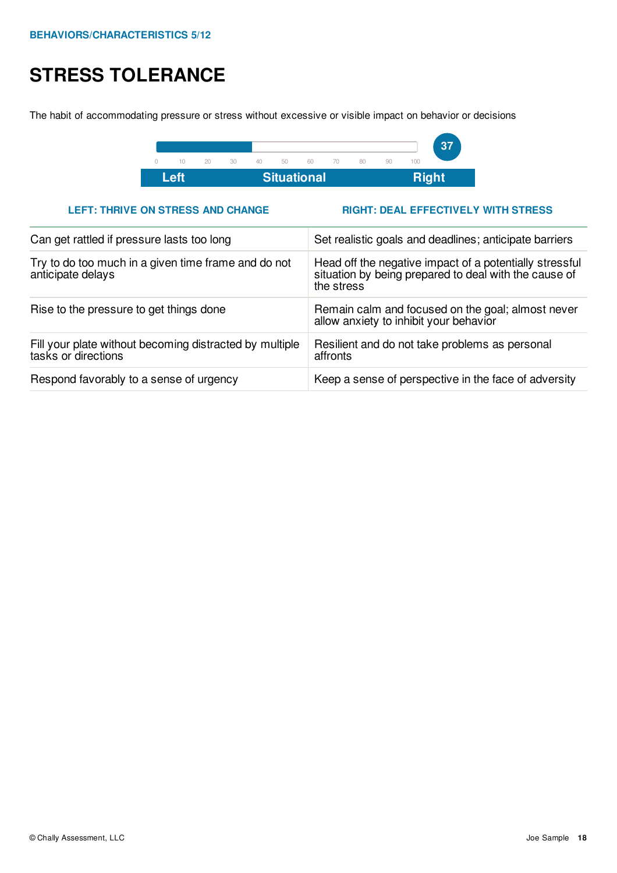# **STRESS TOLERANCE**

The habit of accommodating pressure or stress without excessive or visible impact on behavior or decisions



## **LEFT: THRIVE ON STRESS AND CHANGE RIGHT: DEAL EFFECTIVELY WITH STRESS**

| Can get rattled if pressure lasts too long                                     | Set realistic goals and deadlines; anticipate barriers                                                                         |  |  |  |  |
|--------------------------------------------------------------------------------|--------------------------------------------------------------------------------------------------------------------------------|--|--|--|--|
| Try to do too much in a given time frame and do not<br>anticipate delays       | Head off the negative impact of a potentially stressful<br>situation by being prepared to deal with the cause of<br>the stress |  |  |  |  |
| Rise to the pressure to get things done                                        | Remain calm and focused on the goal; almost never<br>allow anxiety to inhibit your behavior                                    |  |  |  |  |
| Fill your plate without becoming distracted by multiple<br>tasks or directions | Resilient and do not take problems as personal<br>affronts                                                                     |  |  |  |  |
| Respond favorably to a sense of urgency                                        | Keep a sense of perspective in the face of adversity                                                                           |  |  |  |  |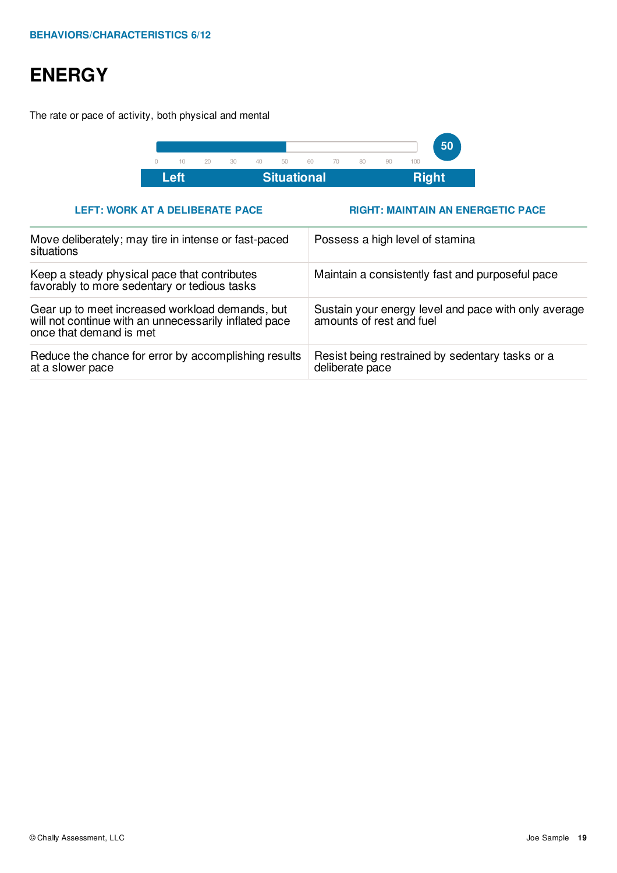# **ENERGY**

The rate or pace of activity, both physical and mental



## **LEFT: WORK AT A DELIBERATE PACE RIGHT: MAINTAIN AN ENERGETIC PACE**

| Move deliberately; may tire in intense or fast-paced<br>situations                                                                  | Possess a high level of stamina                                                  |  |  |  |
|-------------------------------------------------------------------------------------------------------------------------------------|----------------------------------------------------------------------------------|--|--|--|
| Keep a steady physical pace that contributes<br>favorably to more sedentary or tedious tasks                                        | Maintain a consistently fast and purposeful pace                                 |  |  |  |
| Gear up to meet increased workload demands, but<br>will not continue with an unnecessarily inflated pace<br>once that demand is met | Sustain your energy level and pace with only average<br>amounts of rest and fuel |  |  |  |
| Reduce the chance for error by accomplishing results<br>at a slower pace                                                            | Resist being restrained by sedentary tasks or a<br>deliberate pace               |  |  |  |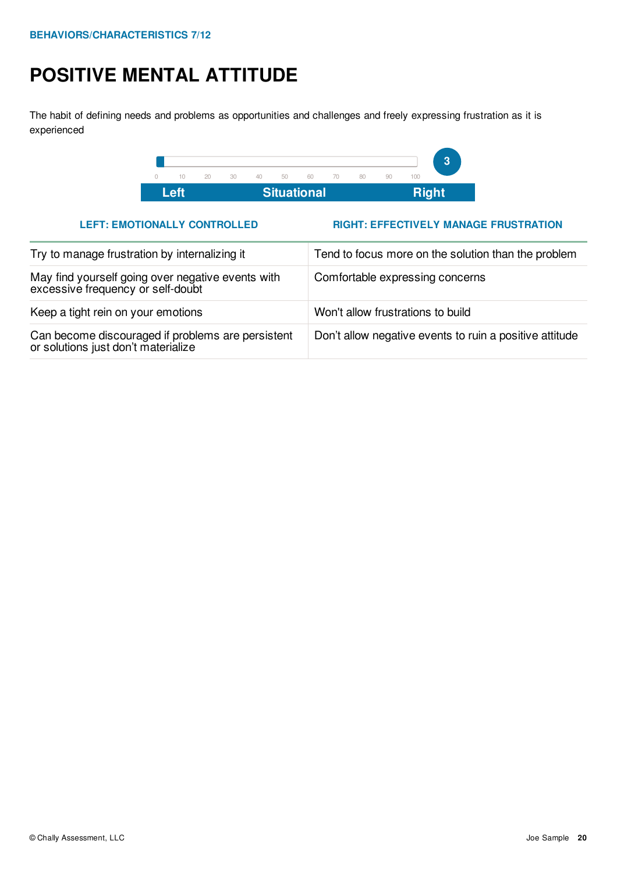# **POSITIVE MENTAL ATTITUDE**

The habit of defining needs and problems as opportunities and challenges and freely expressing frustration as it is experienced



## **LEFT: EMOTIONALLY CONTROLLED RIGHT: EFFECTIVELY MANAGE FRUSTRATION**

| Try to manage frustration by internalizing it                                            | Tend to focus more on the solution than the problem     |  |  |
|------------------------------------------------------------------------------------------|---------------------------------------------------------|--|--|
| May find yourself going over negative events with<br>excessive frequency or self-doubt   | Comfortable expressing concerns                         |  |  |
| Keep a tight rein on your emotions                                                       | Won't allow frustrations to build                       |  |  |
| Can become discouraged if problems are persistent<br>or solutions just don't materialize | Don't allow negative events to ruin a positive attitude |  |  |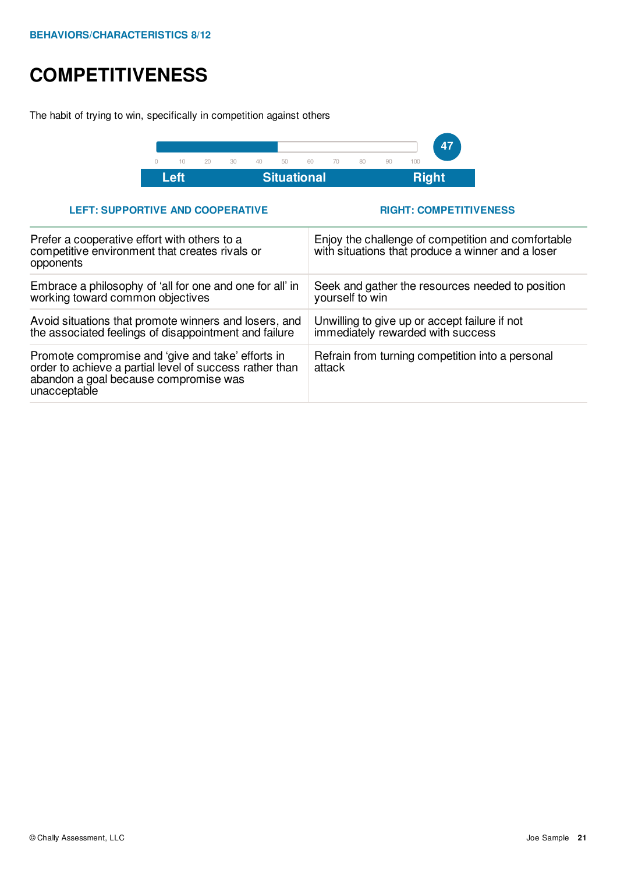## **COMPETITIVENESS**

The habit of trying to win, specifically in competition against others



## **LEFT: SUPPORTIVE AND COOPERATIVE RIGHT: COMPETITIVENESS**

| Prefer a cooperative effort with others to a<br>competitive environment that creates rivals or<br>opponents                                                           | Enjoy the challenge of competition and comfortable<br>with situations that produce a winner and a loser |
|-----------------------------------------------------------------------------------------------------------------------------------------------------------------------|---------------------------------------------------------------------------------------------------------|
| Embrace a philosophy of 'all for one and one for all' in<br>working toward common objectives                                                                          | Seek and gather the resources needed to position<br>yourself to win                                     |
| Avoid situations that promote winners and losers, and<br>the associated feelings of disappointment and failure                                                        | Unwilling to give up or accept failure if not<br>immediately rewarded with success                      |
| Promote compromise and 'give and take' efforts in<br>order to achieve a partial level of success rather than<br>abandon a goal because compromise was<br>unacceptable | Refrain from turning competition into a personal<br>attack                                              |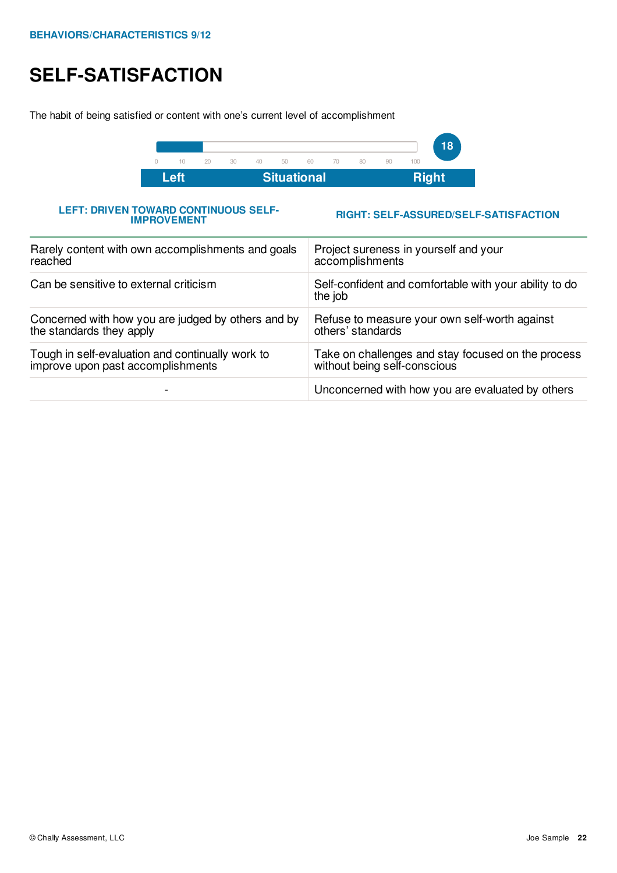# **SELF-SATISFACTION**

The habit of being satisfied or content with one's current level of accomplishment



**LEFT: DRIVEN TOWARD CONTINUOUS SELF-IMPROVEMENT**

**RIGHT: SELF-ASSURED/SELF-SATISFACTION**

| Rarely content with own accomplishments and goals  | Project sureness in yourself and your                             |
|----------------------------------------------------|-------------------------------------------------------------------|
| reached                                            | accomplishments                                                   |
| Can be sensitive to external criticism             | Self-confident and comfortable with your ability to do<br>the job |
| Concerned with how you are judged by others and by | Refuse to measure your own self-worth against                     |
| the standards they apply                           | others' standards                                                 |
| Tough in self-evaluation and continually work to   | Take on challenges and stay focused on the process                |
| improve upon past accomplishments                  | without being self-conscious                                      |
|                                                    | Unconcerned with how you are evaluated by others                  |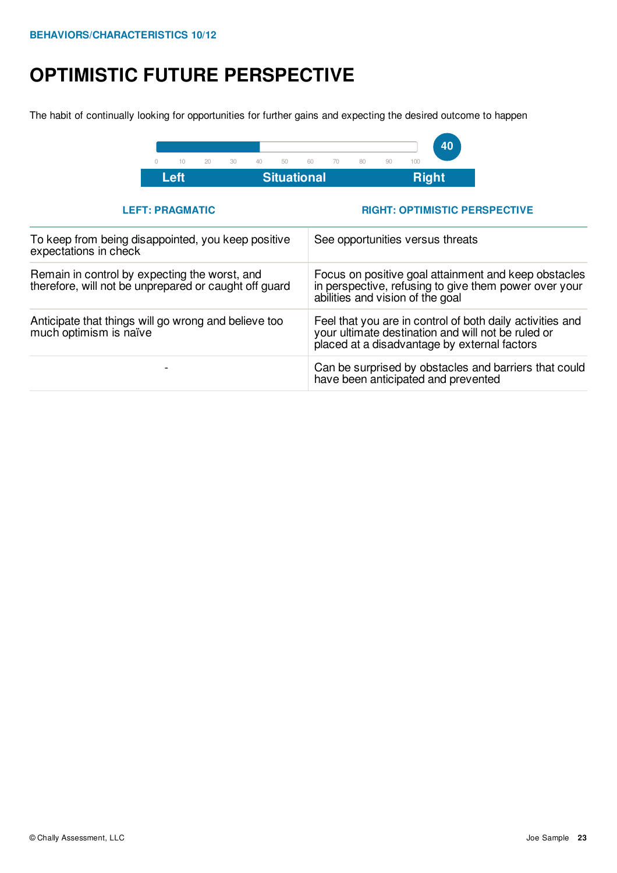# **OPTIMISTIC FUTURE PERSPECTIVE**

The habit of continually looking for opportunities for further gains and expecting the desired outcome to happen



**LEFT: PRAGMATIC RIGHT: OPTIMISTIC PERSPECTIVE**

| To keep from being disappointed, you keep positive<br>expectations in check                            | See opportunities versus threats                                                                                                                                |
|--------------------------------------------------------------------------------------------------------|-----------------------------------------------------------------------------------------------------------------------------------------------------------------|
| Remain in control by expecting the worst, and<br>therefore, will not be unprepared or caught off guard | Focus on positive goal attainment and keep obstacles<br>in perspective, refusing to give them power over your<br>abilities and vision of the goal               |
| Anticipate that things will go wrong and believe too<br>much optimism is naïve                         | Feel that you are in control of both daily activities and<br>your ultimate destination and will not be ruled or<br>placed at a disadvantage by external factors |
|                                                                                                        | Can be surprised by obstacles and barriers that could<br>have been anticipated and prevented                                                                    |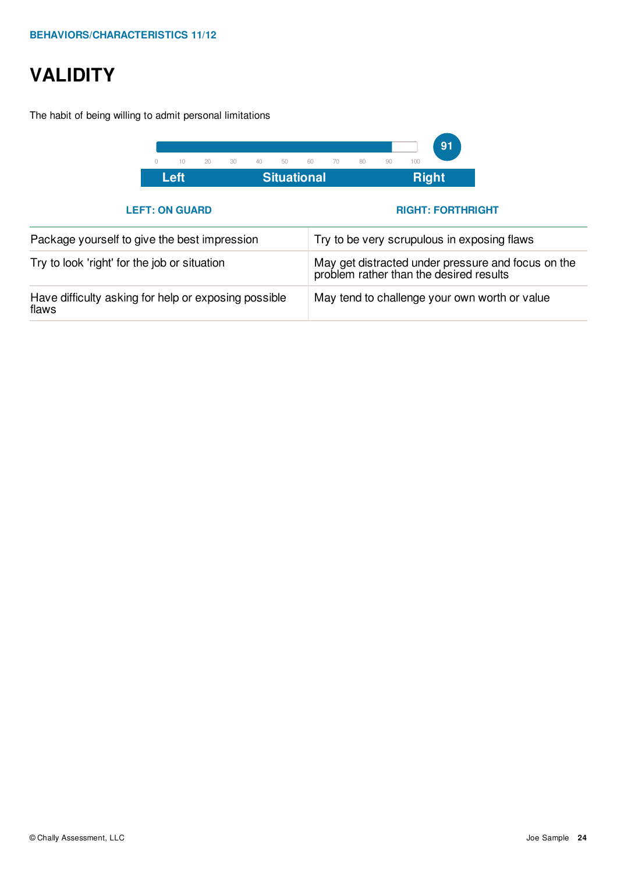# **VALIDITY**

The habit of being willing to admit personal limitations

| <b>Situational</b><br>Left |    |        |    |    |    | <b>Right</b> |    |    |    |     |    |  |
|----------------------------|----|--------|----|----|----|--------------|----|----|----|-----|----|--|
|                            | 10 | $20 -$ | 30 | 40 | 50 | 60.          | 70 | 80 | 90 | 100 |    |  |
|                            |    |        |    |    |    |              |    |    |    |     | 91 |  |

## **LEFT: ON GUARD RIGHT: FORTHRIGHT**

| Package yourself to give the best impression                  | Try to be very scrupulous in exposing flaws                                                |
|---------------------------------------------------------------|--------------------------------------------------------------------------------------------|
| Try to look 'right' for the job or situation                  | May get distracted under pressure and focus on the problem rather than the desired results |
| Have difficulty asking for help or exposing possible<br>flaws | May tend to challenge your own worth or value                                              |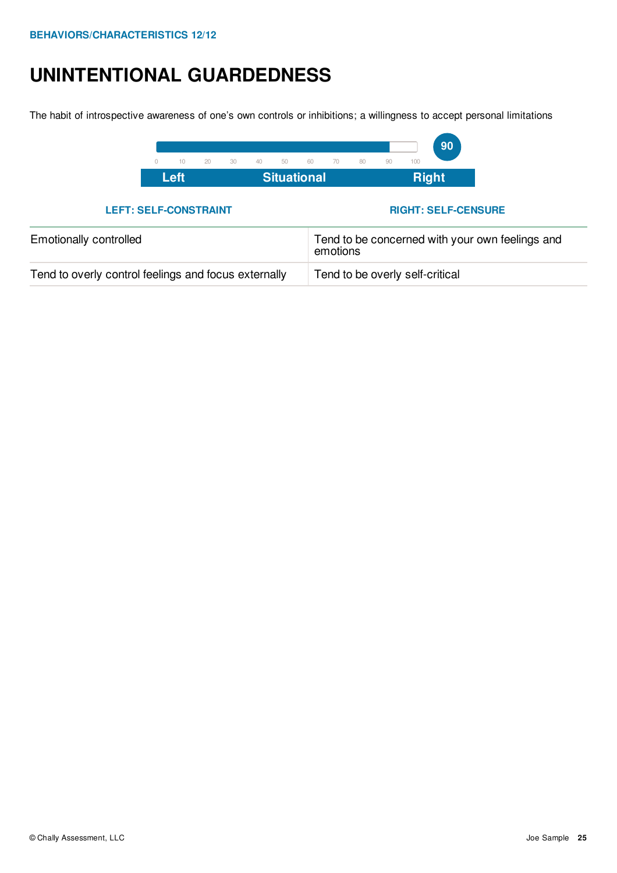## **UNINTENTIONAL GUARDEDNESS**

The habit of introspective awareness of one's own controls or inhibitions; a willingness to accept personal limitations



**LEFT: SELF-CONSTRAINT RIGHT: SELF-CENSURE**

| <b>Emotionally controlled</b>                        | Tend to be concerned with your own feelings and<br>emotions |  |  |
|------------------------------------------------------|-------------------------------------------------------------|--|--|
| Tend to overly control feelings and focus externally | Tend to be overly self-critical                             |  |  |